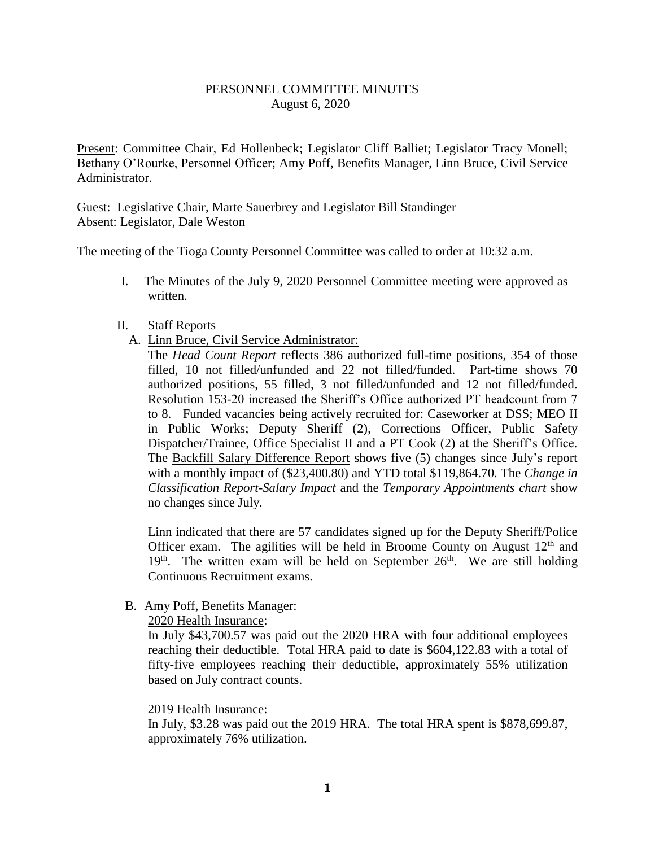### PERSONNEL COMMITTEE MINUTES August 6, 2020

Present: Committee Chair, Ed Hollenbeck; Legislator Cliff Balliet; Legislator Tracy Monell; Bethany O'Rourke, Personnel Officer; Amy Poff, Benefits Manager, Linn Bruce, Civil Service Administrator.

Guest: Legislative Chair, Marte Sauerbrey and Legislator Bill Standinger Absent: Legislator, Dale Weston

The meeting of the Tioga County Personnel Committee was called to order at 10:32 a.m.

I. The Minutes of the July 9, 2020 Personnel Committee meeting were approved as written.

#### II. Staff Reports

A. Linn Bruce, Civil Service Administrator:

The *Head Count Report* reflects 386 authorized full-time positions, 354 of those filled, 10 not filled/unfunded and 22 not filled/funded. Part-time shows 70 authorized positions, 55 filled, 3 not filled/unfunded and 12 not filled/funded. Resolution 153-20 increased the Sheriff's Office authorized PT headcount from 7 to 8. Funded vacancies being actively recruited for: Caseworker at DSS; MEO II in Public Works; Deputy Sheriff (2), Corrections Officer, Public Safety Dispatcher/Trainee, Office Specialist II and a PT Cook (2) at the Sheriff's Office. The Backfill Salary Difference Report shows five (5) changes since July's report with a monthly impact of (\$23,400.80) and YTD total \$119,864.70. The *Change in Classification Report-Salary Impact* and the *Temporary Appointments chart* show no changes since July.

Linn indicated that there are 57 candidates signed up for the Deputy Sheriff/Police Officer exam. The agilities will be held in Broome County on August  $12<sup>th</sup>$  and  $19<sup>th</sup>$ . The written exam will be held on September  $26<sup>th</sup>$ . We are still holding Continuous Recruitment exams.

### B. Amy Poff, Benefits Manager:

### 2020 Health Insurance:

In July \$43,700.57 was paid out the 2020 HRA with four additional employees reaching their deductible. Total HRA paid to date is \$604,122.83 with a total of fifty-five employees reaching their deductible, approximately 55% utilization based on July contract counts.

### 2019 Health Insurance:

In July, \$3.28 was paid out the 2019 HRA. The total HRA spent is \$878,699.87, approximately 76% utilization.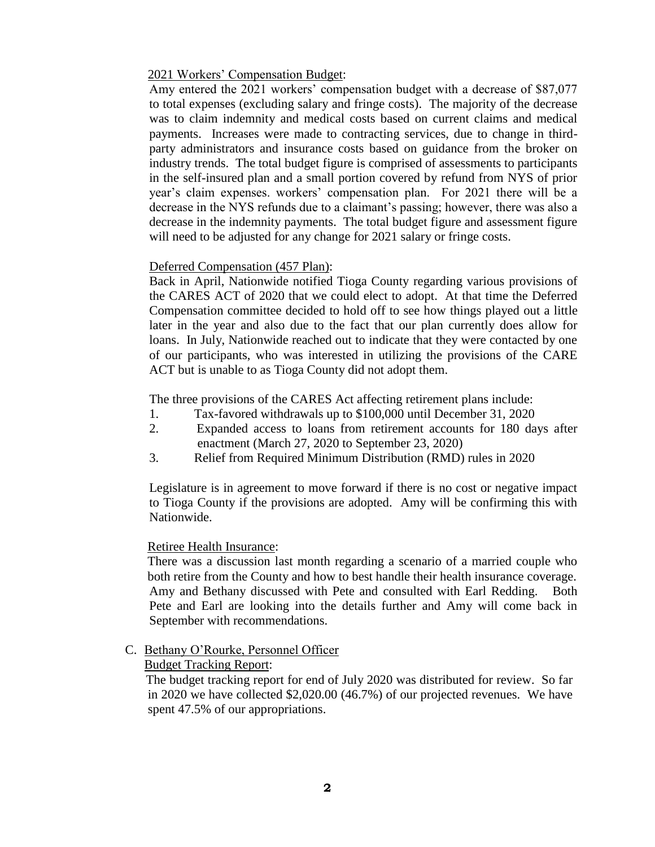### 2021 Workers' Compensation Budget:

Amy entered the 2021 workers' compensation budget with a decrease of \$87,077 to total expenses (excluding salary and fringe costs). The majority of the decrease was to claim indemnity and medical costs based on current claims and medical payments. Increases were made to contracting services, due to change in thirdparty administrators and insurance costs based on guidance from the broker on industry trends. The total budget figure is comprised of assessments to participants in the self-insured plan and a small portion covered by refund from NYS of prior year's claim expenses. workers' compensation plan. For 2021 there will be a decrease in the NYS refunds due to a claimant's passing; however, there was also a decrease in the indemnity payments. The total budget figure and assessment figure will need to be adjusted for any change for 2021 salary or fringe costs.

### Deferred Compensation (457 Plan):

Back in April, Nationwide notified Tioga County regarding various provisions of the CARES ACT of 2020 that we could elect to adopt. At that time the Deferred Compensation committee decided to hold off to see how things played out a little later in the year and also due to the fact that our plan currently does allow for loans. In July, Nationwide reached out to indicate that they were contacted by one of our participants, who was interested in utilizing the provisions of the CARE ACT but is unable to as Tioga County did not adopt them.

The three provisions of the CARES Act affecting retirement plans include:

- 1. Tax-favored withdrawals up to \$100,000 until December 31, 2020
- 2. Expanded access to loans from retirement accounts for 180 days after enactment (March 27, 2020 to September 23, 2020)
- 3. Relief from Required Minimum Distribution (RMD) rules in 2020

Legislature is in agreement to move forward if there is no cost or negative impact to Tioga County if the provisions are adopted. Amy will be confirming this with Nationwide.

### Retiree Health Insurance:

There was a discussion last month regarding a scenario of a married couple who both retire from the County and how to best handle their health insurance coverage. Amy and Bethany discussed with Pete and consulted with Earl Redding. Both Pete and Earl are looking into the details further and Amy will come back in September with recommendations.

### C. Bethany O'Rourke, Personnel Officer

#### Budget Tracking Report:

 The budget tracking report for end of July 2020 was distributed for review. So far in 2020 we have collected \$2,020.00 (46.7%) of our projected revenues. We have spent 47.5% of our appropriations.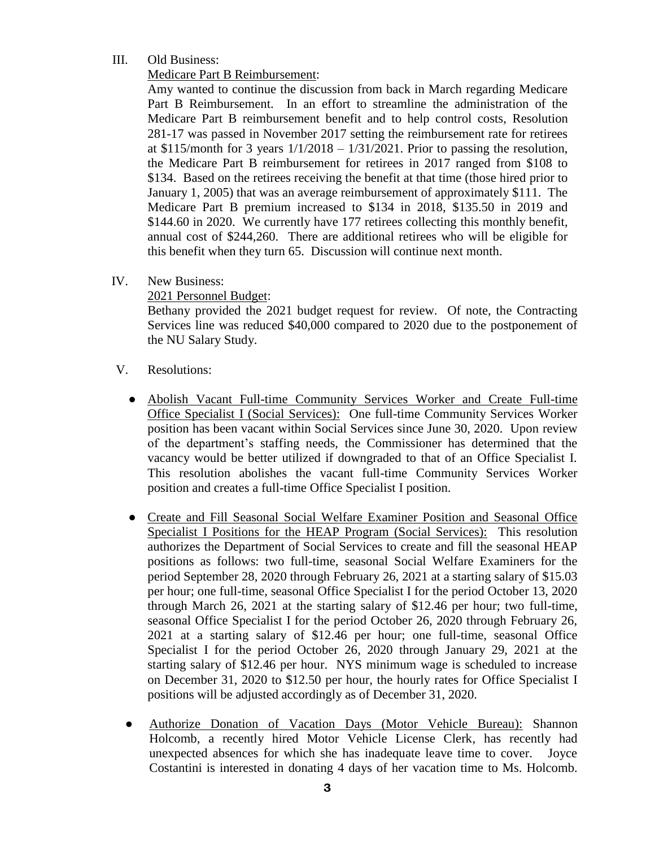## III. Old Business:

# Medicare Part B Reimbursement:

Amy wanted to continue the discussion from back in March regarding Medicare Part B Reimbursement. In an effort to streamline the administration of the Medicare Part B reimbursement benefit and to help control costs, Resolution 281-17 was passed in November 2017 setting the reimbursement rate for retirees at \$115/month for 3 years  $1/1/2018 - 1/31/2021$ . Prior to passing the resolution, the Medicare Part B reimbursement for retirees in 2017 ranged from \$108 to \$134. Based on the retirees receiving the benefit at that time (those hired prior to January 1, 2005) that was an average reimbursement of approximately \$111. The Medicare Part B premium increased to \$134 in 2018, \$135.50 in 2019 and \$144.60 in 2020. We currently have 177 retirees collecting this monthly benefit, annual cost of \$244,260. There are additional retirees who will be eligible for this benefit when they turn 65. Discussion will continue next month.

IV. New Business:

# 2021 Personnel Budget:

Bethany provided the 2021 budget request for review. Of note, the Contracting Services line was reduced \$40,000 compared to 2020 due to the postponement of the NU Salary Study.

- V. Resolutions:
	- Abolish Vacant Full-time Community Services Worker and Create Full-time Office Specialist I (Social Services): One full-time Community Services Worker position has been vacant within Social Services since June 30, 2020. Upon review of the department's staffing needs, the Commissioner has determined that the vacancy would be better utilized if downgraded to that of an Office Specialist I. This resolution abolishes the vacant full-time Community Services Worker position and creates a full-time Office Specialist I position.
	- Create and Fill Seasonal Social Welfare Examiner Position and Seasonal Office Specialist I Positions for the HEAP Program (Social Services): This resolution authorizes the Department of Social Services to create and fill the seasonal HEAP positions as follows: two full-time, seasonal Social Welfare Examiners for the period September 28, 2020 through February 26, 2021 at a starting salary of \$15.03 per hour; one full-time, seasonal Office Specialist I for the period October 13, 2020 through March 26, 2021 at the starting salary of \$12.46 per hour; two full-time, seasonal Office Specialist I for the period October 26, 2020 through February 26, 2021 at a starting salary of \$12.46 per hour; one full-time, seasonal Office Specialist I for the period October 26, 2020 through January 29, 2021 at the starting salary of \$12.46 per hour. NYS minimum wage is scheduled to increase on December 31, 2020 to \$12.50 per hour, the hourly rates for Office Specialist I positions will be adjusted accordingly as of December 31, 2020.
	- Authorize Donation of Vacation Days (Motor Vehicle Bureau): Shannon Holcomb, a recently hired Motor Vehicle License Clerk, has recently had unexpected absences for which she has inadequate leave time to cover. Joyce Costantini is interested in donating 4 days of her vacation time to Ms. Holcomb.